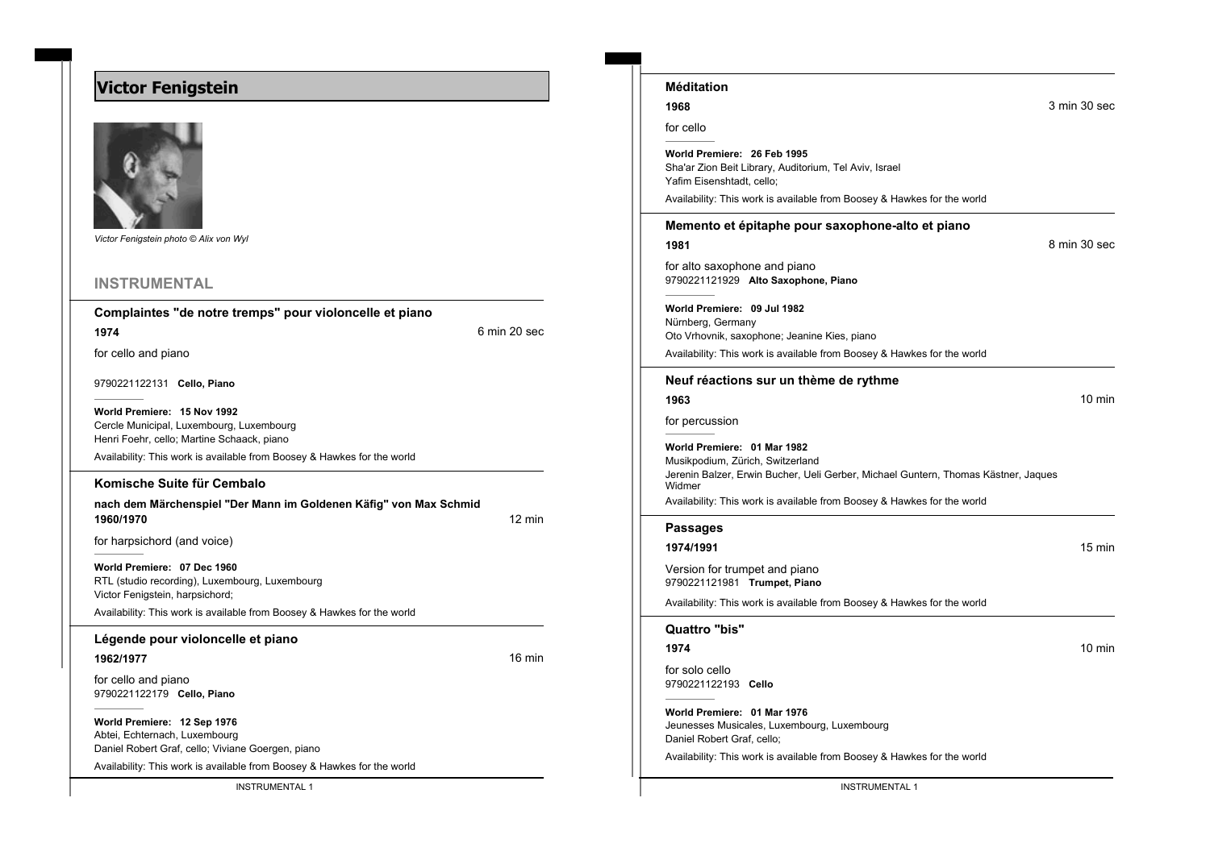# **Victor Fenigstein**



*Victor Fenigstein photo © Alix von Wyl*

## **INSTRUMENTAL**

#### **Complaintes "de notre tremps" pour violoncelle et piano**

**1974** 6 min 20 sec

for cello and piano

9790221122131 **Cello, Piano**

**World Premiere: 15 Nov 1992** Cercle Municipal, Luxembourg, Luxembourg Henri Foehr, cello; Martine Schaack, piano

Availability: This work is available from Boosey & Hawkes for the world

#### **Komische Suite für Cembalo**

**nach dem Märchenspiel "Der Mann im Goldenen Käfig" von Max Schmid 1960/1970** 12 min

for harpsichord (and voice)

**World Premiere: 07 Dec 1960** RTL (studio recording), Luxembourg, Luxembourg Victor Fenigstein, harpsichord;

Availability: This work is available from Boosey & Hawkes for the world

### **Légende pour violoncelle et piano**

**1962/1977** 16 min

for cello and piano 9790221122179 **Cello, Piano**

**World Premiere: 12 Sep 1976**

Abtei, Echternach, Luxembourg Daniel Robert Graf, cello; Viviane Goergen, piano

Availability: This work is available from Boosey & Hawkes for the world

| Méditation                                                                                                                                                      |                  |
|-----------------------------------------------------------------------------------------------------------------------------------------------------------------|------------------|
| 1968                                                                                                                                                            | 3 min 30 sec     |
| for cello                                                                                                                                                       |                  |
| World Premiere: 26 Feb 1995<br>Sha'ar Zion Beit Library, Auditorium, Tel Aviv, Israel<br>Yafim Eisenshtadt, cello;                                              |                  |
| Availability: This work is available from Boosey & Hawkes for the world                                                                                         |                  |
| Memento et épitaphe pour saxophone-alto et piano<br>1981                                                                                                        | 8 min 30 sec     |
| for alto saxophone and piano<br>9790221121929 Alto Saxophone, Piano                                                                                             |                  |
| World Premiere: 09 Jul 1982<br>Nürnberg, Germany<br>Oto Vrhovnik, saxophone; Jeanine Kies, piano                                                                |                  |
| Availability: This work is available from Boosey & Hawkes for the world                                                                                         |                  |
| Neuf réactions sur un thème de rythme<br>1963                                                                                                                   | $10 \text{ min}$ |
| for percussion                                                                                                                                                  |                  |
| World Premiere: 01 Mar 1982<br>Musikpodium, Zürich, Switzerland<br>Jerenin Balzer, Erwin Bucher, Ueli Gerber, Michael Guntern, Thomas Kästner, Jaques<br>Widmer |                  |
| Availability: This work is available from Boosey & Hawkes for the world                                                                                         |                  |
| Passages                                                                                                                                                        |                  |
| 1974/1991                                                                                                                                                       | 15 min           |
| Version for trumpet and piano<br>9790221121981 Trumpet, Piano                                                                                                   |                  |
| Availability: This work is available from Boosey & Hawkes for the world                                                                                         |                  |
| Quattro "bis"                                                                                                                                                   |                  |
| 1974                                                                                                                                                            | 10 min           |
| for solo cello<br>9790221122193 Cello                                                                                                                           |                  |
| World Premiere: 01 Mar 1976<br>Jeunesses Musicales, Luxembourg, Luxembourg<br>Daniel Robert Graf, cello;                                                        |                  |
| Availability: This work is available from Boosey & Hawkes for the world                                                                                         |                  |

INSTRUMENTAL 1 INSTRUMENTAL 1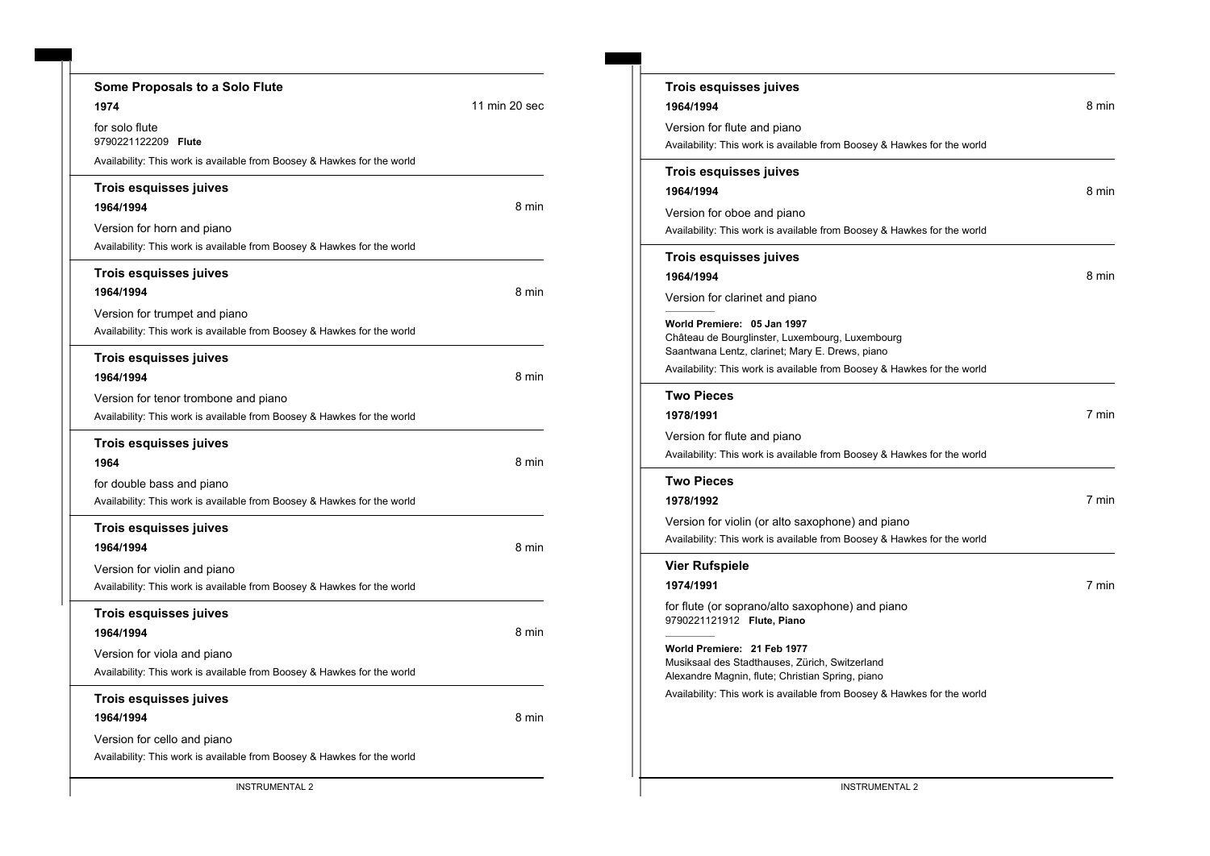| Some Proposals to a Solo Flute                                          |               |
|-------------------------------------------------------------------------|---------------|
| 1974                                                                    | 11 min 20 sec |
| for solo flute<br>9790221122209 Flute                                   |               |
| Availability: This work is available from Boosey & Hawkes for the world |               |
| Trois esquisses juives                                                  |               |
| 1964/1994                                                               | 8 min         |
| Version for horn and piano                                              |               |
| Availability: This work is available from Boosey & Hawkes for the world |               |
| Trois esquisses juives                                                  |               |
| 1964/1994                                                               | 8 min         |
| Version for trumpet and piano                                           |               |
| Availability: This work is available from Boosey & Hawkes for the world |               |
| Trois esquisses juives                                                  |               |
| 1964/1994                                                               | 8 min         |
| Version for tenor trombone and piano                                    |               |
| Availability: This work is available from Boosey & Hawkes for the world |               |
| Trois esquisses juives                                                  |               |
| 1964                                                                    | 8 min         |
| for double bass and piano                                               |               |
| Availability: This work is available from Boosey & Hawkes for the world |               |
| Trois esquisses juives                                                  |               |
| 1964/1994                                                               | 8 min         |
| Version for violin and piano                                            |               |
| Availability: This work is available from Boosey & Hawkes for the world |               |
| Trois esquisses juives                                                  |               |
| 1964/1994                                                               | 8 min         |
| Version for viola and piano                                             |               |
| Availability: This work is available from Boosey & Hawkes for the world |               |
| Trois esquisses juives                                                  |               |
| 1964/1994                                                               | 8 min         |
| Version for cello and piano                                             |               |
| Availability: This work is available from Boosey & Hawkes for the world |               |
|                                                                         |               |

| <b>Trois esquisses juives</b><br>1964/1994                                                                                                                                                                                                                                                                                          | 8 min |
|-------------------------------------------------------------------------------------------------------------------------------------------------------------------------------------------------------------------------------------------------------------------------------------------------------------------------------------|-------|
| Version for flute and piano<br>Availability: This work is available from Boosey & Hawkes for the world                                                                                                                                                                                                                              |       |
| Trois esquisses juives<br>1964/1994<br>Version for oboe and piano<br>Availability: This work is available from Boosey & Hawkes for the world                                                                                                                                                                                        | 8 min |
| Trois esquisses juives<br>1964/1994<br>Version for clarinet and piano                                                                                                                                                                                                                                                               | 8 min |
| World Premiere: 05 Jan 1997<br>Château de Bourglinster, Luxembourg, Luxembourg<br>Saantwana Lentz, clarinet; Mary E. Drews, piano<br>Availability: This work is available from Boosey & Hawkes for the world                                                                                                                        |       |
| <b>Two Pieces</b><br>1978/1991<br>Version for flute and piano<br>Availability: This work is available from Boosey & Hawkes for the world                                                                                                                                                                                            | 7 min |
| <b>Two Pieces</b><br>1978/1992<br>Version for violin (or alto saxophone) and piano<br>Availability: This work is available from Boosey & Hawkes for the world                                                                                                                                                                       | 7 min |
| <b>Vier Rufspiele</b><br>1974/1991<br>for flute (or soprano/alto saxophone) and piano<br>9790221121912 Flute, Piano<br>World Premiere: 21 Feb 1977<br>Musiksaal des Stadthauses, Zürich, Switzerland<br>Alexandre Magnin, flute; Christian Spring, piano<br>Availability: This work is available from Boosey & Hawkes for the world | 7 min |
|                                                                                                                                                                                                                                                                                                                                     |       |

INSTRUMENTAL 2 INSTRUMENTAL 2